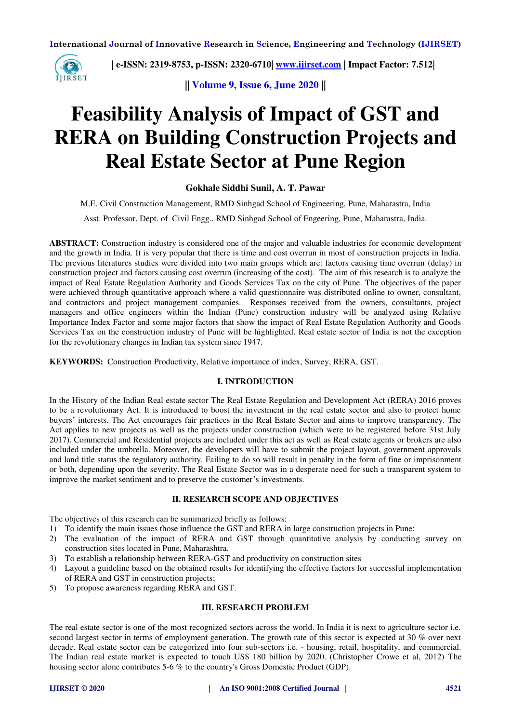

 **| e-ISSN: 2319-8753, p-ISSN: 2320-6710| [www.ijirset.com](http://www.ijirset.com/) | Impact Factor: 7.512|**

**|| Volume 9, Issue 6, June 2020 ||** 

# **Feasibility Analysis of Impact of GST and RERA on Building Construction Projects and Real Estate Sector at Pune Region**

## **Gokhale Siddhi Sunil, A. T. Pawar**

M.E. Civil Construction Management, RMD Sinhgad School of Engineering, Pune, Maharastra, India

Asst. Professor, Dept. of Civil Engg., RMD Sinhgad School of Engeering, Pune, Maharastra, India.

**ABSTRACT:** Construction industry is considered one of the major and valuable industries for economic development and the growth in India. It is very popular that there is time and cost overrun in most of construction projects in India. The previous literatures studies were divided into two main groups which are: factors causing time overrun (delay) in construction project and factors causing cost overrun (increasing of the cost). The aim of this research is to analyze the impact of Real Estate Regulation Authority and Goods Services Tax on the city of Pune. The objectives of the paper were achieved through quantitative approach where a valid questionnaire was distributed online to owner, consultant, and contractors and project management companies. Responses received from the owners, consultants, project managers and office engineers within the Indian (Pune) construction industry will be analyzed using Relative Importance Index Factor and some major factors that show the impact of Real Estate Regulation Authority and Goods Services Tax on the construction industry of Pune will be highlighted. Real estate sector of India is not the exception for the revolutionary changes in Indian tax system since 1947.

**KEYWORDS:** Construction Productivity, Relative importance of index, Survey, RERA, GST.

#### **I. INTRODUCTION**

In the History of the Indian Real estate sector The Real Estate Regulation and Development Act (RERA) 2016 proves to be a revolutionary Act. It is introduced to boost the investment in the real estate sector and also to protect home buyers' interests. The Act encourages fair practices in the Real Estate Sector and aims to improve transparency. The Act applies to new projects as well as the projects under construction (which were to be registered before 31st July 2017). Commercial and Residential projects are included under this act as well as Real estate agents or brokers are also included under the umbrella. Moreover, the developers will have to submit the project layout, government approvals and land title status the regulatory authority. Failing to do so will result in penalty in the form of fine or imprisonment or both, depending upon the severity. The Real Estate Sector was in a desperate need for such a transparent system to improve the market sentiment and to preserve the customer's investments.

#### **II. RESEARCH SCOPE AND OBJECTIVES**

The objectives of this research can be summarized briefly as follows:

- 1) To identify the main issues those influence the GST and RERA in large construction projects in Pune;
- 2) The evaluation of the impact of RERA and GST through quantitative analysis by conducting survey on construction sites located in Pune, Maharashtra.
- 3) To establish a relationship between RERA-GST and productivity on construction sites
- 4) Layout a guideline based on the obtained results for identifying the effective factors for successful implementation of RERA and GST in construction projects;
- 5) To propose awareness regarding RERA and GST.

### **III. RESEARCH PROBLEM**

The real estate sector is one of the most recognized sectors across the world. In India it is next to agriculture sector i.e. second largest sector in terms of employment generation. The growth rate of this sector is expected at 30 % over next decade. Real estate sector can be categorized into four sub-sectors i.e. - housing, retail, hospitality, and commercial. The Indian real estate market is expected to touch US\$ 180 billion by 2020. (Christopher Crowe et al, 2012) The housing sector alone contributes 5-6 % to the country's Gross Domestic Product (GDP).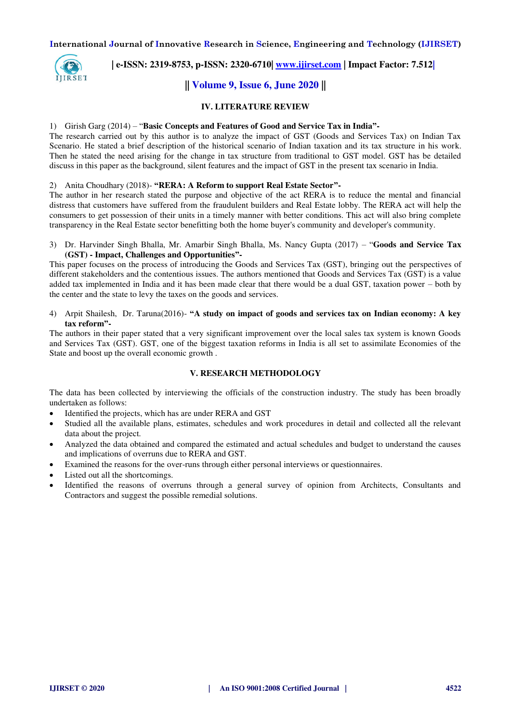

 **| e-ISSN: 2319-8753, p-ISSN: 2320-6710| [www.ijirset.com](http://www.ijirset.com/) | Impact Factor: 7.512|**

# **|| Volume 9, Issue 6, June 2020 ||**

#### **IV. LITERATURE REVIEW**

#### 1) Girish Garg (2014) – "**Basic Concepts and Features of Good and Service Tax in India"-**

The research carried out by this author is to analyze the impact of GST (Goods and Services Tax) on Indian Tax Scenario. He stated a brief description of the historical scenario of Indian taxation and its tax structure in his work. Then he stated the need arising for the change in tax structure from traditional to GST model. GST has be detailed discuss in this paper as the background, silent features and the impact of GST in the present tax scenario in India.

#### 2) Anita Choudhary (2018)- **"RERA: A Reform to support Real Estate Sector"-**

The author in her research stated the purpose and objective of the act RERA is to reduce the mental and financial distress that customers have suffered from the fraudulent builders and Real Estate lobby. The RERA act will help the consumers to get possession of their units in a timely manner with better conditions. This act will also bring complete transparency in the Real Estate sector benefitting both the home buyer's community and developer's community.

3) Dr. Harvinder Singh Bhalla, Mr. Amarbir Singh Bhalla, Ms. Nancy Gupta (2017) – "**Goods and Service Tax (GST) - Impact, Challenges and Opportunities"-** 

This paper focuses on the process of introducing the Goods and Services Tax (GST), bringing out the perspectives of different stakeholders and the contentious issues. The authors mentioned that Goods and Services Tax (GST) is a value added tax implemented in India and it has been made clear that there would be a dual GST, taxation power – both by the center and the state to levy the taxes on the goods and services.

4) Arpit Shailesh, Dr. Taruna(2016)- **"A study on impact of goods and services tax on Indian economy: A key tax reform"-** 

The authors in their paper stated that a very significant improvement over the local sales tax system is known Goods and Services Tax (GST). GST, one of the biggest taxation reforms in India is all set to assimilate Economies of the State and boost up the overall economic growth .

#### **V. RESEARCH METHODOLOGY**

The data has been collected by interviewing the officials of the construction industry. The study has been broadly undertaken as follows:

- Identified the projects, which has are under RERA and GST
- Studied all the available plans, estimates, schedules and work procedures in detail and collected all the relevant data about the project.
- Analyzed the data obtained and compared the estimated and actual schedules and budget to understand the causes and implications of overruns due to RERA and GST.
- Examined the reasons for the over-runs through either personal interviews or questionnaires.
- Listed out all the shortcomings.
- Identified the reasons of overruns through a general survey of opinion from Architects, Consultants and Contractors and suggest the possible remedial solutions.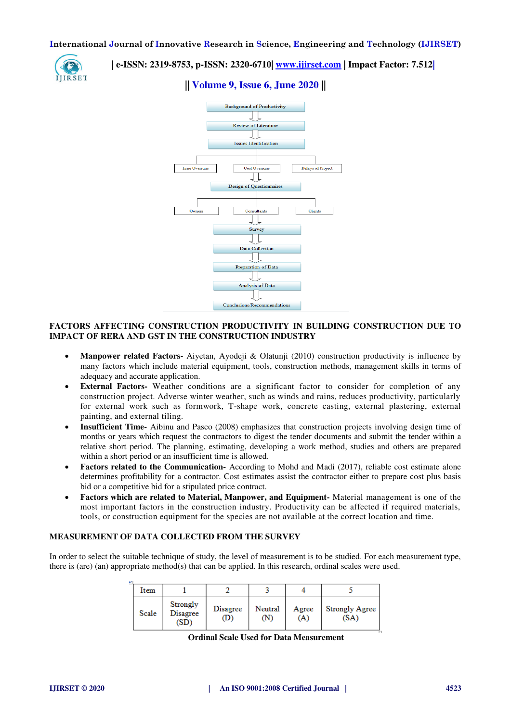

 **| e-ISSN: 2319-8753, p-ISSN: 2320-6710| [www.ijirset.com](http://www.ijirset.com/) | Impact Factor: 7.512|**





### **FACTORS AFFECTING CONSTRUCTION PRODUCTIVITY IN BUILDING CONSTRUCTION DUE TO IMPACT OF RERA AND GST IN THE CONSTRUCTION INDUSTRY**

- **Manpower related Factors-** Aiyetan, Ayodeji & Olatunji (2010) construction productivity is influence by many factors which include material equipment, tools, construction methods, management skills in terms of adequacy and accurate application.
- **External Factors-** Weather conditions are a significant factor to consider for completion of any construction project. Adverse winter weather, such as winds and rains, reduces productivity, particularly for external work such as formwork, T-shape work, concrete casting, external plastering, external painting, and external tiling.
- **Insufficient Time-** Aibinu and Pasco (2008) emphasizes that construction projects involving design time of months or years which request the contractors to digest the tender documents and submit the tender within a relative short period. The planning, estimating, developing a work method, studies and others are prepared within a short period or an insufficient time is allowed.
- **Factors related to the Communication-** According to Mohd and Madi (2017), reliable cost estimate alone determines profitability for a contractor. Cost estimates assist the contractor either to prepare cost plus basis bid or a competitive bid for a stipulated price contract.
- **Factors which are related to Material, Manpower, and Equipment-** Material management is one of the most important factors in the construction industry. Productivity can be affected if required materials, tools, or construction equipment for the species are not available at the correct location and time.

#### **MEASUREMENT OF DATA COLLECTED FROM THE SURVEY**

In order to select the suitable technique of study, the level of measurement is to be studied. For each measurement type, there is (are) (an) appropriate method(s) that can be applied. In this research, ordinal scales were used.

| F |       |                                     |                        |                |              |                               |
|---|-------|-------------------------------------|------------------------|----------------|--------------|-------------------------------|
|   | Item  |                                     |                        |                |              |                               |
|   | Scale | Strongly<br><b>Disagree</b><br>(SD) | <b>Disagree</b><br>(D) | Neutral<br>(N) | Agree<br>(A) | <b>Strongly Agree</b><br>(SA) |

**Ordinal Scale Used for Data Measurement**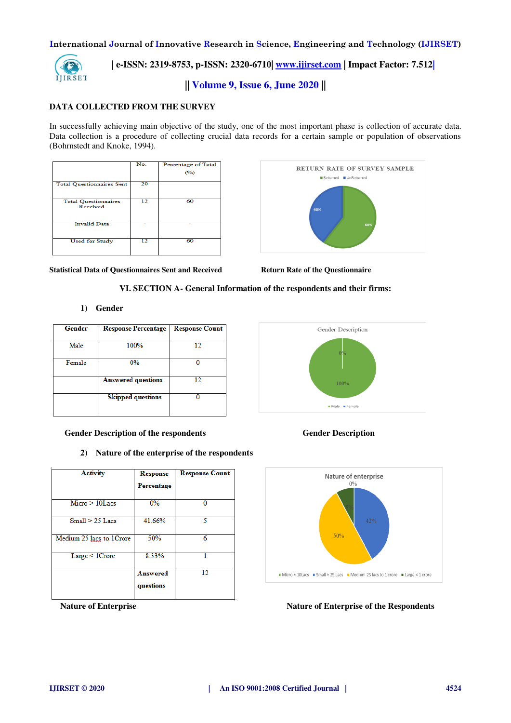

 **| e-ISSN: 2319-8753, p-ISSN: 2320-6710| [www.ijirset.com](http://www.ijirset.com/) | Impact Factor: 7.512|**

**|| Volume 9, Issue 6, June 2020 ||** 

### **DATA COLLECTED FROM THE SURVEY**

In successfully achieving main objective of the study, one of the most important phase is collection of accurate data. Data collection is a procedure of collecting crucial data records for a certain sample or population of observations (Bohrnstedt and Knoke, 1994).

|                                         | No. | Percentage of Total<br>(%) |
|-----------------------------------------|-----|----------------------------|
| <b>Total Questionnaires Sent</b>        | 20  |                            |
| <b>Total Questionnaires</b><br>Received | 12  | 60                         |
| <b>Invalid Data</b>                     |     |                            |
| <b>Used for Study</b>                   | 12  | 60                         |



Statistical Data of Questionnaires Sent and Received **Return Rate of the Questionnaire** 

#### **VI. SECTION A- General Information of the respondents and their firms:**

#### **1) Gender**

| <b>Gender</b> | <b>Response Percentage</b> | <b>Response Count</b> |  |
|---------------|----------------------------|-----------------------|--|
|               |                            |                       |  |
| Male          | 100%                       | 12                    |  |
|               |                            |                       |  |
| Female        | $0\%$                      |                       |  |
|               |                            |                       |  |
|               | <b>Answered questions</b>  | 12                    |  |
|               |                            |                       |  |
|               | <b>Skipped questions</b>   |                       |  |
|               |                            |                       |  |
|               |                            |                       |  |

 **Gender Description of the respondents Gender Description**

**2) Nature of the enterprise of the respondents**

| <b>Activity</b>          | <b>Response</b><br>Percentage | <b>Response Count</b> |
|--------------------------|-------------------------------|-----------------------|
| $Micro > 10$ Lacs        | 0%                            |                       |
| $Small > 25$ Lacs        | 41.66%                        | ٢                     |
| Medium 25 lacs to 1Crore | 50%                           | 6                     |
| Large < 1Crore           | 8.33%                         |                       |
|                          | <b>Answered</b><br>questions  | 12                    |





#### **Nature of Enterprise September 2016 12 September 2016 12:30 Nature of Enterprise of the Respondents**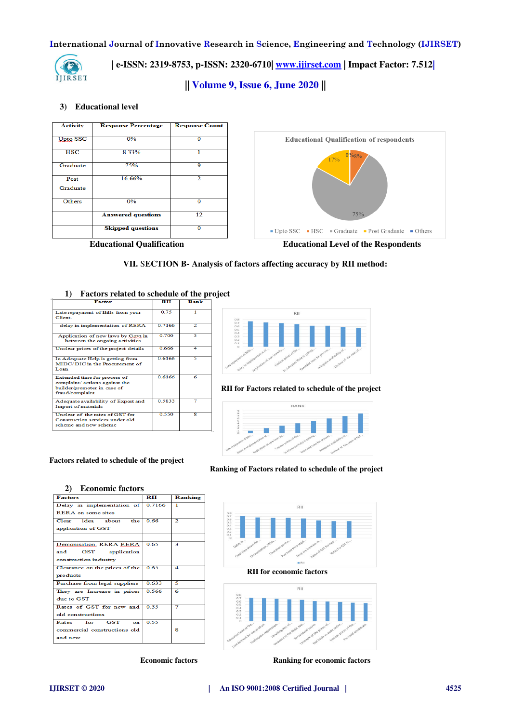

 **| e-ISSN: 2319-8753, p-ISSN: 2320-6710| [www.ijirset.com](http://www.ijirset.com/) | Impact Factor: 7.512|**

**|| Volume 9, Issue 6, June 2020 ||** 

#### **3) Educational level**



**VII.** S**ECTION B- Analysis of factors affecting accuracy by RII method:** 

| T)<br>ractors related to schedule of the pr                                                                      |               |      |  |
|------------------------------------------------------------------------------------------------------------------|---------------|------|--|
| <b>Factor</b>                                                                                                    | $_{\rm{RII}}$ | Rank |  |
| Late repayment of Bills from your<br><b>Client</b>                                                               | 0.75          |      |  |
| delay in implementation of RERA                                                                                  | 0.7166        | 2    |  |
| Application of new laws by Goyt in<br>between the ongoing activities                                             | 0.700         | 3    |  |
| Unclear prices of the project details                                                                            | 0.666         | 4    |  |
| In Adequate Help is getting from<br>MIDC/DIC in the Procurement of<br>Loan                                       | 0.6166        | ς    |  |
| Extended time for process of<br>complaint/ actions against the<br>builder/promoter in case of<br>fraud/complaint | 0.6166        | 6    |  |
| Adequate availability of Export and<br>Import of materials                                                       | 0.5833        |      |  |
| Unclear of the rates of GST for<br>Construction services under old<br>scheme and new scheme                      | 0.550         | я    |  |

# **1) Factors related to schedule of the project**



#### **RII for Factors related to schedule of the project**



#### **Factors related to schedule of the project**

**2) Economic factors**

| - реопонне неского                |                           |                |  |
|-----------------------------------|---------------------------|----------------|--|
| <b>Factors</b>                    | $\mathbf{R}$ $\mathbf{H}$ | Ranking        |  |
| Delay in implementation of 0.7166 |                           | T              |  |
| <b>RERA</b> on some sites         |                           |                |  |
| Clear idea about the              | 0.66                      | $\overline{2}$ |  |
| application of GST                |                           |                |  |
|                                   |                           |                |  |
| Demonisation, RERA RERA           | 0.65                      | 3              |  |
| GST application<br>and            |                           |                |  |
| construction industry             |                           |                |  |
| Clearance on the prices of the    | 0.65                      | 4              |  |
| products                          |                           |                |  |
| Purchase from legal suppliers     | 0.633                     | 5              |  |
| They are Increase in prices       | 0.566                     | 6              |  |
| due to GST                        |                           |                |  |
| Rates of GST for new and          | 0.55                      | 7              |  |
| old constructions                 |                           |                |  |
| Rates for GST<br>on.              | 0.55                      |                |  |
| commercial constructions old      |                           | 8              |  |
| and new                           |                           |                |  |
|                                   |                           |                |  |

 **Ranking of Factors related to schedule of the project**





**Economic factors Ranking for economic factors**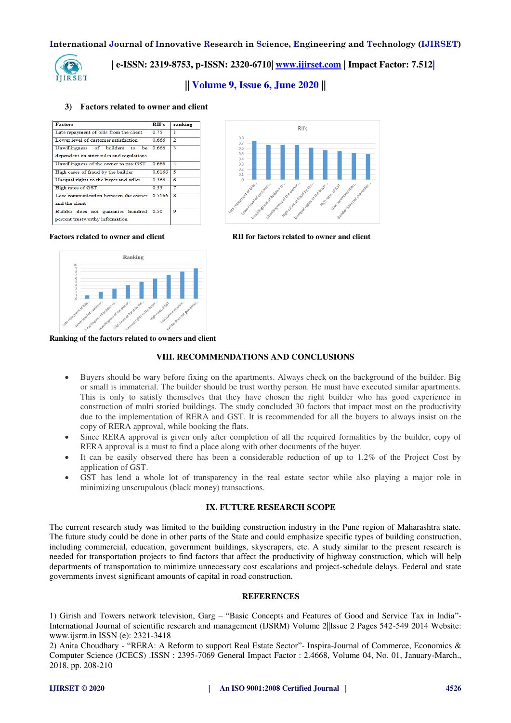

 **| e-ISSN: 2319-8753, p-ISSN: 2320-6710| [www.ijirset.com](http://www.ijirset.com/) | Impact Factor: 7.512|**

**|| Volume 9, Issue 6, June 2020 ||** 

#### **3) Factors related to owner and client**

| <b>Factors</b>                            | RII's  | ranking            |
|-------------------------------------------|--------|--------------------|
| Late repayment of bills from the client   | 0.75   | 1                  |
| Lower level of customer satisfaction      | 0.666  | $\overline{2}$     |
| Unwillingness of builders<br>be<br>to     | 0.666  | 3                  |
| dependent on strict rules and regulations |        |                    |
| Unwillingness of the owner to pay GST     | 0.666  | $\overline{\bf 4}$ |
| High cases of fraud by the builder        | 0.6166 | 5                  |
| Unequal rights to the buyer and seller    | 0.566  | 6                  |
| High rates of GST                         | 0.55   | 7                  |
| Low communication between the owner       | 0.5166 | 8                  |
| and the client                            |        |                    |
| Builder does not guarantee hundred        | 0.50   | 9                  |
| percent trustworthy information           |        |                    |



**Factors related to owner and client RII for factors related to owner and client**



**Ranking of the factors related to owners and client** 

#### **VIII. RECOMMENDATIONS AND CONCLUSIONS**

- Buyers should be wary before fixing on the apartments. Always check on the background of the builder. Big or small is immaterial. The builder should be trust worthy person. He must have executed similar apartments. This is only to satisfy themselves that they have chosen the right builder who has good experience in construction of multi storied buildings. The study concluded 30 factors that impact most on the productivity due to the implementation of RERA and GST. It is recommended for all the buyers to always insist on the copy of RERA approval, while booking the flats.
- Since RERA approval is given only after completion of all the required formalities by the builder, copy of RERA approval is a must to find a place along with other documents of the buyer.
- It can be easily observed there has been a considerable reduction of up to 1.2% of the Project Cost by application of GST.
- GST has lend a whole lot of transparency in the real estate sector while also playing a major role in minimizing unscrupulous (black money) transactions.

#### **IX. FUTURE RESEARCH SCOPE**

The current research study was limited to the building construction industry in the Pune region of Maharashtra state. The future study could be done in other parts of the State and could emphasize specific types of building construction, including commercial, education, government buildings, skyscrapers, etc. A study similar to the present research is needed for transportation projects to find factors that affect the productivity of highway construction, which will help departments of transportation to minimize unnecessary cost escalations and project-schedule delays. Federal and state governments invest significant amounts of capital in road construction.

#### **REFERENCES**

1) Girish and Towers network television, Garg – "Basic Concepts and Features of Good and Service Tax in India"- International Journal of scientific research and management (IJSRM) Volume 2||Issue 2 Pages 542-549 2014 Website: www.ijsrm.in ISSN (e): 2321-3418

2) Anita Choudhary - "RERA: A Reform to support Real Estate Sector"- Inspira-Journal of Commerce, Economics & Computer Science (JCECS) .ISSN : 2395-7069 General Impact Factor : 2.4668, Volume 04, No. 01, January-March., 2018, pp. 208-210